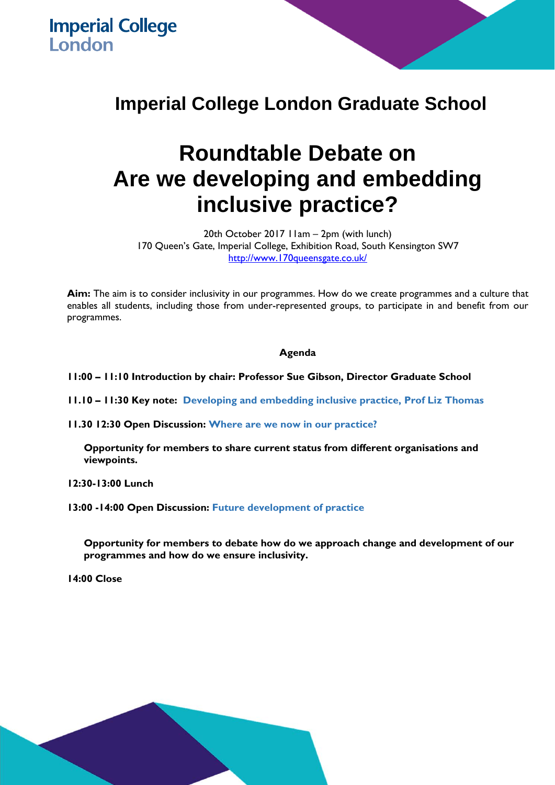**Imperial College London** 

## **Imperial College London Graduate School**

## **Roundtable Debate on Are we developing and embedding inclusive practice?**

20th October 2017 11am – 2pm (with lunch) 170 Queen's Gate, Imperial College, Exhibition Road, South Kensington SW7 http://www.170queensgate.co.uk/

**Aim:** The aim is to consider inclusivity in our programmes. How do we create programmes and a culture that enables all students, including those from under-represented groups, to participate in and benefit from our programmes.

## **Agenda**

**11:00 – 11:10 Introduction by chair: Professor Sue Gibson, Director Graduate School** 

**11.10 – 11:30 Key note: Developing and embedding inclusive practice, Prof Liz Thomas** 

**11.30 12:30 Open Discussion: Where are we now in our practice?** 

**Opportunity for members to share current status from different organisations and viewpoints.** 

**12:30-13:00 Lunch** 

**13:00 -14:00 Open Discussion: Future development of practice** 

**Opportunity for members to debate how do we approach change and development of our programmes and how do we ensure inclusivity.** 

**14:00 Close**